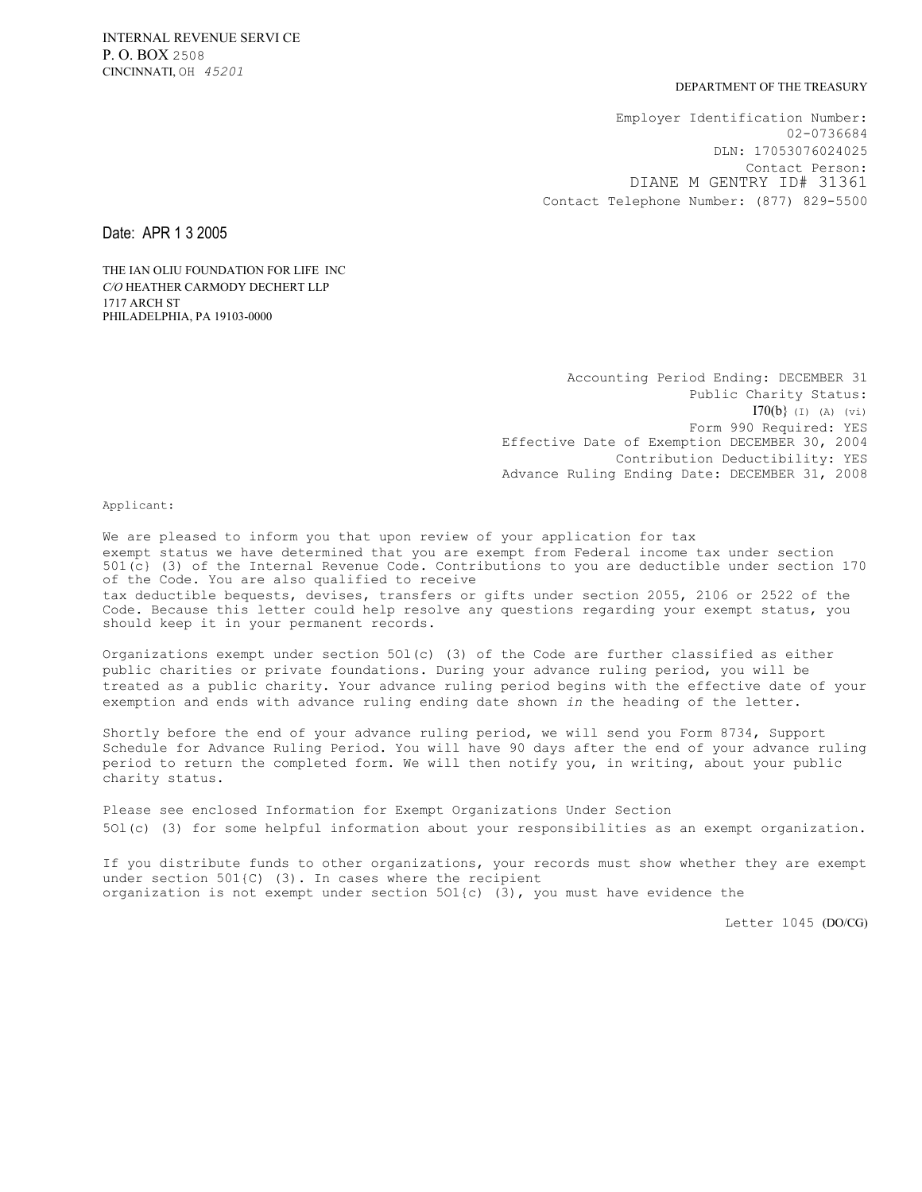## DEPARTMENT OF THE TREASURY

Employer Identification Number: 02-0736684 DLN: 17053076024025 Contact Person: DIANE M GENTRY ID# 31361 Contact Telephone Number: (877) 829-5500

Date: APR 1 3 2005

THE IAN OLIU FOUNDATION FOR LIFE INC *C/O* HEATHER CARMODY DECHERT LLP 1717 ARCH ST PHILADELPHIA, PA 19103-0000

> Accounting Period Ending: DECEMBER 31 Public Charity Status:  $I70(b)$  (I) (A) (vi) Form 990 Required: YES Effective Date of Exemption DECEMBER 30, 2004 Contribution Deductibility: YES Advance Ruling Ending Date: DECEMBER 31, 2008

Applicant:

We are pleased to inform you that upon review of your application for tax exempt status we have determined that you are exempt from Federal income tax under section 501(c} (3) of the Internal Revenue Code. Contributions to you are deductible under section 170 of the Code. You are also qualified to receive tax deductible bequests, devises, transfers or gifts under section 2055, 2106 or 2522 of the Code. Because this letter could help resolve any questions regarding your exempt status, you should keep it in your permanent records.

Organizations exempt under section 5Ol(c) (3) of the Code are further classified as either public charities or private foundations. During your advance ruling period, you will be treated as a public charity. Your advance ruling period begins with the effective date of your exemption and ends with advance ruling ending date shown *in* the heading of the letter.

Shortly before the end of your advance ruling period, we will send you Form 8734, Support Schedule for Advance Ruling Period. You will have 90 days after the end of your advance ruling period to return the completed form. We will then notify you, in writing, about your public charity status.

Please see enclosed Information for Exempt Organizations Under Section 5Ol(c) (3) for some helpful information about your responsibilities as an exempt organization.

If you distribute funds to other organizations, your records must show whether they are exempt under section 501{C) (3). In cases where the recipient organization is not exempt under section 5O1{c) (3), you must have evidence the

Letter 1045 (DO/CG)